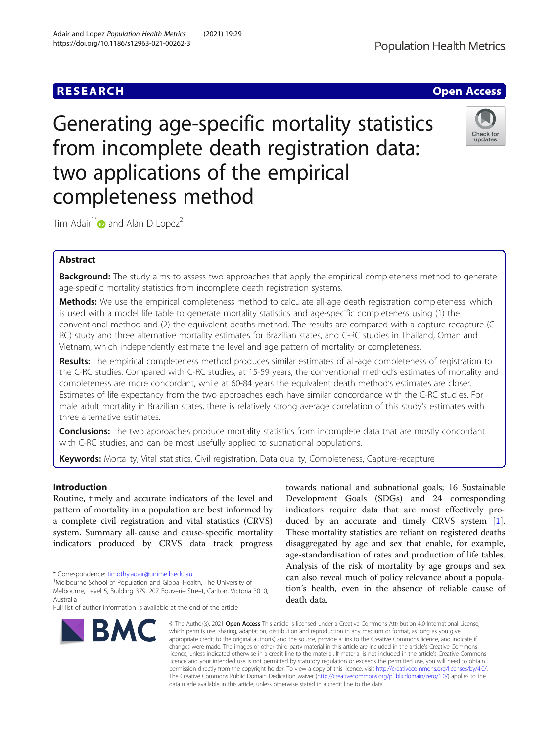Generating age-specific mortality statistics from incomplete death registration data: two applications of the empirical completeness method

Tim Adair<sup>1\*</sup> and Alan D Lopez<sup>2</sup>

# Abstract

Background: The study aims to assess two approaches that apply the empirical completeness method to generate age-specific mortality statistics from incomplete death registration systems.

Methods: We use the empirical completeness method to calculate all-age death registration completeness, which is used with a model life table to generate mortality statistics and age-specific completeness using (1) the conventional method and (2) the equivalent deaths method. The results are compared with a capture-recapture (C-RC) study and three alternative mortality estimates for Brazilian states, and C-RC studies in Thailand, Oman and Vietnam, which independently estimate the level and age pattern of mortality or completeness.

Results: The empirical completeness method produces similar estimates of all-age completeness of registration to the C-RC studies. Compared with C-RC studies, at 15-59 years, the conventional method's estimates of mortality and completeness are more concordant, while at 60-84 years the equivalent death method's estimates are closer. Estimates of life expectancy from the two approaches each have similar concordance with the C-RC studies. For male adult mortality in Brazilian states, there is relatively strong average correlation of this study's estimates with three alternative estimates.

**Conclusions:** The two approaches produce mortality statistics from incomplete data that are mostly concordant with C-RC studies, and can be most usefully applied to subnational populations.

data made available in this article, unless otherwise stated in a credit line to the data.

Keywords: Mortality, Vital statistics, Civil registration, Data quality, Completeness, Capture-recapture

Introduction

Routine, timely and accurate indicators of the level and pattern of mortality in a population are best informed by a complete civil registration and vital statistics (CRVS) system. Summary all-cause and cause-specific mortality indicators produced by CRVS data track progress

BMC

death data. © The Author(s), 2021 **Open Access** This article is licensed under a Creative Commons Attribution 4.0 International License, which permits use, sharing, adaptation, distribution and reproduction in any medium or format, as long as you give appropriate credit to the original author(s) and the source, provide a link to the Creative Commons licence, and indicate if changes were made. The images or other third party material in this article are included in the article's Creative Commons licence, unless indicated otherwise in a credit line to the material. If material is not included in the article's Creative Commons licence and your intended use is not permitted by statutory regulation or exceeds the permitted use, you will need to obtain

permission directly from the copyright holder. To view a copy of this licence, visit [http://creativecommons.org/licenses/by/4.0/.](http://creativecommons.org/licenses/by/4.0/) The Creative Commons Public Domain Dedication waiver [\(http://creativecommons.org/publicdomain/zero/1.0/](http://creativecommons.org/publicdomain/zero/1.0/)) applies to the

Development Goals (SDGs) and 24 corresponding indicators require data that are most effectively produced by an accurate and timely CRVS system [\[1](#page-9-0)]. These mortality statistics are reliant on registered deaths disaggregated by age and sex that enable, for example, age-standardisation of rates and production of life tables. Analysis of the risk of mortality by age groups and sex can also reveal much of policy relevance about a population's health, even in the absence of reliable cause of

towards national and subnational goals; 16 Sustainable

**RESEARCH CHE Open Access** 



<sup>\*</sup> Correspondence: [timothy.adair@unimelb.edu.au](mailto:timothy.adair@unimelb.edu.au) <sup>1</sup>

<sup>&</sup>lt;sup>1</sup>Melbourne School of Population and Global Health, The University of Melbourne, Level 5, Building 379, 207 Bouverie Street, Carlton, Victoria 3010, Australia

Full list of author information is available at the end of the article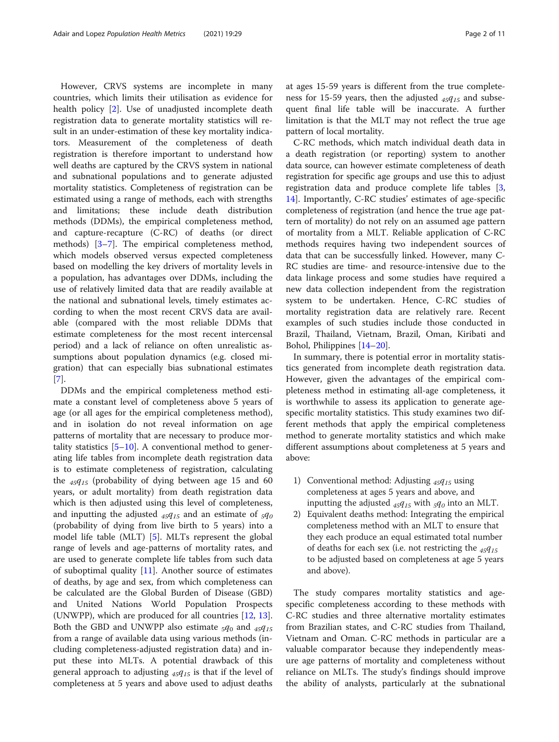However, CRVS systems are incomplete in many countries, which limits their utilisation as evidence for health policy [\[2](#page-9-0)]. Use of unadjusted incomplete death registration data to generate mortality statistics will result in an under-estimation of these key mortality indicators. Measurement of the completeness of death registration is therefore important to understand how well deaths are captured by the CRVS system in national and subnational populations and to generate adjusted mortality statistics. Completeness of registration can be estimated using a range of methods, each with strengths and limitations; these include death distribution methods (DDMs), the empirical completeness method, and capture-recapture (C-RC) of deaths (or direct methods) [[3](#page-9-0)–[7\]](#page-9-0). The empirical completeness method, which models observed versus expected completeness based on modelling the key drivers of mortality levels in a population, has advantages over DDMs, including the use of relatively limited data that are readily available at the national and subnational levels, timely estimates according to when the most recent CRVS data are available (compared with the most reliable DDMs that estimate completeness for the most recent intercensal period) and a lack of reliance on often unrealistic assumptions about population dynamics (e.g. closed migration) that can especially bias subnational estimates [[7\]](#page-9-0).

DDMs and the empirical completeness method estimate a constant level of completeness above 5 years of age (or all ages for the empirical completeness method), and in isolation do not reveal information on age patterns of mortality that are necessary to produce mortality statistics  $[5-10]$  $[5-10]$  $[5-10]$  $[5-10]$ . A conventional method to generating life tables from incomplete death registration data is to estimate completeness of registration, calculating the  $45q_{15}$  (probability of dying between age 15 and 60 years, or adult mortality) from death registration data which is then adjusted using this level of completeness, and inputting the adjusted  $_{45}q_{15}$  and an estimate of  $_{5}q_{0}$ (probability of dying from live birth to 5 years) into a model life table (MLT) [\[5](#page-9-0)]. MLTs represent the global range of levels and age-patterns of mortality rates, and are used to generate complete life tables from such data of suboptimal quality [[11\]](#page-9-0). Another source of estimates of deaths, by age and sex, from which completeness can be calculated are the Global Burden of Disease (GBD) and United Nations World Population Prospects (UNWPP), which are produced for all countries [\[12](#page-9-0), [13](#page-10-0)]. Both the GBD and UNWPP also estimate  $_5q_0$  and  $_{45}q_{15}$ from a range of available data using various methods (including completeness-adjusted registration data) and input these into MLTs. A potential drawback of this general approach to adjusting  $45q_{15}$  is that if the level of completeness at 5 years and above used to adjust deaths at ages 15-59 years is different from the true completeness for 15-59 years, then the adjusted  $_{45}q_{15}$  and subsequent final life table will be inaccurate. A further limitation is that the MLT may not reflect the true age pattern of local mortality.

C-RC methods, which match individual death data in a death registration (or reporting) system to another data source, can however estimate completeness of death registration for specific age groups and use this to adjust registration data and produce complete life tables [\[3](#page-9-0), [14\]](#page-10-0). Importantly, C-RC studies' estimates of age-specific completeness of registration (and hence the true age pattern of mortality) do not rely on an assumed age pattern of mortality from a MLT. Reliable application of C-RC methods requires having two independent sources of data that can be successfully linked. However, many C-RC studies are time- and resource-intensive due to the data linkage process and some studies have required a new data collection independent from the registration system to be undertaken. Hence, C-RC studies of mortality registration data are relatively rare. Recent examples of such studies include those conducted in Brazil, Thailand, Vietnam, Brazil, Oman, Kiribati and Bohol, Philippines [[14](#page-10-0)–[20\]](#page-10-0).

In summary, there is potential error in mortality statistics generated from incomplete death registration data. However, given the advantages of the empirical completeness method in estimating all-age completeness, it is worthwhile to assess its application to generate agespecific mortality statistics. This study examines two different methods that apply the empirical completeness method to generate mortality statistics and which make different assumptions about completeness at 5 years and above:

- 1) Conventional method: Adjusting  $_{45}q_{15}$  using completeness at ages 5 years and above, and inputting the adjusted  $_{45}q_{15}$  with  $_{5}q_{0}$  into an MLT.
- 2) Equivalent deaths method: Integrating the empirical completeness method with an MLT to ensure that they each produce an equal estimated total number of deaths for each sex (i.e. not restricting the  $45q_{15}$ to be adjusted based on completeness at age 5 years and above).

The study compares mortality statistics and agespecific completeness according to these methods with C-RC studies and three alternative mortality estimates from Brazilian states, and C-RC studies from Thailand, Vietnam and Oman. C-RC methods in particular are a valuable comparator because they independently measure age patterns of mortality and completeness without reliance on MLTs. The study's findings should improve the ability of analysts, particularly at the subnational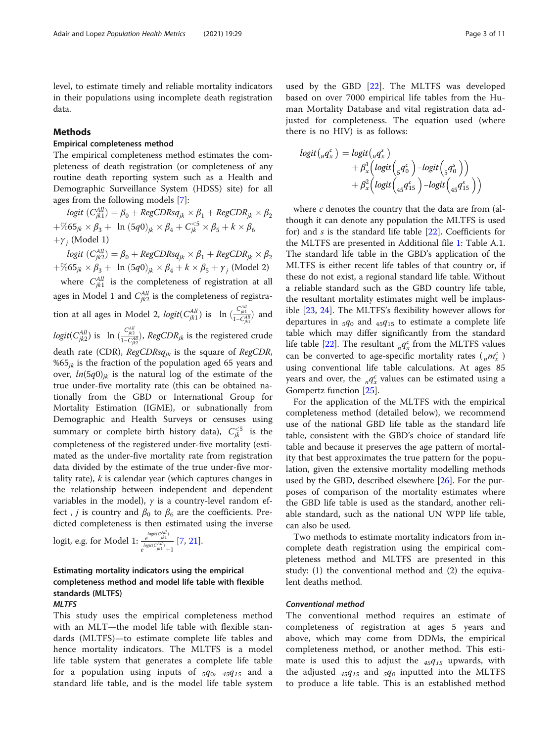level, to estimate timely and reliable mortality indicators in their populations using incomplete death registration data.

# Methods

# Empirical completeness method

The empirical completeness method estimates the completeness of death registration (or completeness of any routine death reporting system such as a Health and Demographic Surveillance System (HDSS) site) for all ages from the following models [[7](#page-9-0)]:

 $logit\ (C^{All}_{jk1}) = \beta_0 + RegCDRsq_{jk} \times \beta_1 + RegCDR_{jk} \times \beta_2$  $+\%65_{jk}\times\beta_3 + \ln(5q0)_{jk}\times\beta_4 + C_{jk}^{<5}\times\beta_5 + k\times\beta_6$  $+\gamma_i$  (Model 1)

 $logit\ (C^{All}_{jk2}) = \beta_0 + RegCDRsq_{jk} \times \beta_1 + RegCDR_{jk} \times \beta_2$  $+\%$ 65<sub>jk</sub> ×  $\beta_3$  + ln  $(5q0)_{jk}$  ×  $\beta_4$  + k ×  $\beta_5$  +  $\gamma_j$  (Model 2) where  $C_{jkl}^{All}$  is the completeness of registration at all ages in Model 1 and  $C_{jk2}^{All}$  is the completeness of registration at all ages in Model 2,  $logit(C_{jk1}^{All})$  is  $\ln\left(\frac{C_{jk1}^{All}}{1-C_{jk1}^{All}}\right)$  and  $logit(C'^{All}_{jk2})$  is  $\;$  ln  $(\frac{C'^{All}_{jk2}}{1-C'^{AI}_{jk2}})$ ,  $RegCDR_{jk}$  is the registered crude death rate (CDR),  $RegCDRsq_{jk}$  is the square of RegCDR, %65 $_{ik}$  is the fraction of the population aged 65 years and over,  $ln(5q0)_{ik}$  is the natural log of the estimate of the true under-five mortality rate (this can be obtained nationally from the GBD or International Group for Mortality Estimation (IGME), or subnationally from Demographic and Health Surveys or censuses using summary or complete birth history data),  $C_{jk}^{<5}$  is the completeness of the registered under-five mortality (estimated as the under-five mortality rate from registration data divided by the estimate of the true under-five mortality rate),  $k$  is calendar year (which captures changes in the relationship between independent and dependent variables in the model),  $\gamma$  is a country-level random effect, *j* is country and  $\beta_0$  to  $\beta_6$  are the coefficients. Predicted completeness is then estimated using the inverse

logit, e.g. for Model 1: 
$$
\frac{e^{\logit(C_{jkl}^{AI})}}{e^{\logit(C_{jkl}^{AI})}+1}
$$
 [7, 21].

# Estimating mortality indicators using the empirical completeness method and model life table with flexible standards (MLTFS)

# MLTFS

This study uses the empirical completeness method with an MLT—the model life table with flexible standards (MLTFS)—to estimate complete life tables and hence mortality indicators. The MLTFS is a model life table system that generates a complete life table for a population using inputs of  $_5q_0$ ,  $_4q_1s$  and a standard life table, and is the model life table system

used by the GBD [[22](#page-10-0)]. The MLTFS was developed based on over 7000 empirical life tables from the Human Mortality Database and vital registration data adjusted for completeness. The equation used (where there is no HIV) is as follows:

$$
logit\left({}_{n}q_{x}^{c}\right) = logit\left({}_{n}q_{x}^{s}\right) + \beta_{x}^{1}\left(logit\left({}_{5}q_{0}^{c}\right) - logit\left({}_{5}q_{0}^{s}\right)\right) + \beta_{x}^{2}\left(logit\left({}_{45}q_{15}^{c}\right) - logit\left({}_{45}q_{15}^{s}\right)\right)
$$

where  $c$  denotes the country that the data are from (although it can denote any population the MLTFS is used for) and s is the standard life table [\[22](#page-10-0)]. Coefficients for the MLTFS are presented in Additional file [1](#page-9-0): Table A.1. The standard life table in the GBD's application of the MLTFS is either recent life tables of that country or, if these do not exist, a regional standard life table. Without a reliable standard such as the GBD country life table, the resultant mortality estimates might well be implausible [[23,](#page-10-0) [24](#page-10-0)]. The MLTFS's flexibility however allows for departures in  $_5q_0$  and  $_{45}q_{15}$  to estimate a complete life table which may differ significantly from the standard life table [\[22](#page-10-0)]. The resultant  $_{n}q_{x}^{c}$  from the MLTFS values can be converted to age-specific mortality rates  $\binom{n\pi}{x}$ using conventional life table calculations. At ages 85 years and over, the  $_{n}q_{x}^{c}$  values can be estimated using a Gompertz function [\[25](#page-10-0)].

For the application of the MLTFS with the empirical completeness method (detailed below), we recommend use of the national GBD life table as the standard life table, consistent with the GBD's choice of standard life table and because it preserves the age pattern of mortality that best approximates the true pattern for the population, given the extensive mortality modelling methods used by the GBD, described elsewhere [\[26](#page-10-0)]. For the purposes of comparison of the mortality estimates where the GBD life table is used as the standard, another reliable standard, such as the national UN WPP life table, can also be used.

Two methods to estimate mortality indicators from incomplete death registration using the empirical completeness method and MLTFS are presented in this study: (1) the conventional method and (2) the equivalent deaths method.

# Conventional method

The conventional method requires an estimate of completeness of registration at ages 5 years and above, which may come from DDMs, the empirical completeness method, or another method. This estimate is used this to adjust the  $_{45}q_{15}$  upwards, with the adjusted  $_{45}q_{15}$  and  $_{5}q_{0}$  inputted into the MLTFS to produce a life table. This is an established method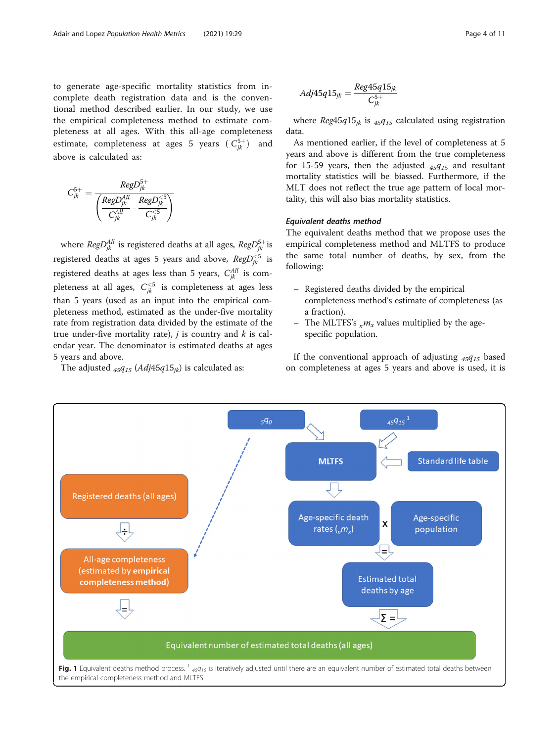<span id="page-3-0"></span>to generate age-specific mortality statistics from incomplete death registration data and is the conventional method described earlier. In our study, we use the empirical completeness method to estimate completeness at all ages. With this all-age completeness estimate, completeness at ages 5 years ( $C_{jk}^{5+}$ ) and above is calculated as:

$$
C_{jk}^{5+} = \frac{RegD_{jk}^{5+}}{\left(\frac{RegD_{jk}^{All}}{C_{jk}^{All}} - \frac{RegD_{jk}^{<5}}{C_{jk}^{<5}}\right)}
$$

where  $RegD^{All}_{jk}$  is registered deaths at all ages,  $RegD^{5+}_{jk}$ is registered deaths at ages 5 years and above,  $RegD_{jk}^{<5}$  is registered deaths at ages less than 5 years,  $C_{jk}^{All}$  is completeness at all ages,  $C_{jk}^{<5}$  is completeness at ages less than 5 years (used as an input into the empirical completeness method, estimated as the under-five mortality rate from registration data divided by the estimate of the true under-five mortality rate), *j* is country and *k* is calendar year. The denominator is estimated deaths at ages 5 years and above.

The adjusted  $_{45}q_{15}$  (Adj45 $q_{15}$ ) is calculated as:

$$
Adj45q15_{jk} = \frac{Reg45q15_{jk}}{C_{jk}^{5+}}
$$

where  $Reg45q15_{ik}$  is  $_{45}q_{15}$  calculated using registration data.

As mentioned earlier, if the level of completeness at 5 years and above is different from the true completeness for 15-59 years, then the adjusted  $_{45}q_{15}$  and resultant mortality statistics will be biassed. Furthermore, if the MLT does not reflect the true age pattern of local mortality, this will also bias mortality statistics.

# Equivalent deaths method

The equivalent deaths method that we propose uses the empirical completeness method and MLTFS to produce the same total number of deaths, by sex, from the following:

- Registered deaths divided by the empirical completeness method's estimate of completeness (as a fraction).
- The MLTFS's  $_{\nu}m_{x}$  values multiplied by the agespecific population.

If the conventional approach of adjusting  $45q_{15}$  based on completeness at ages 5 years and above is used, it is

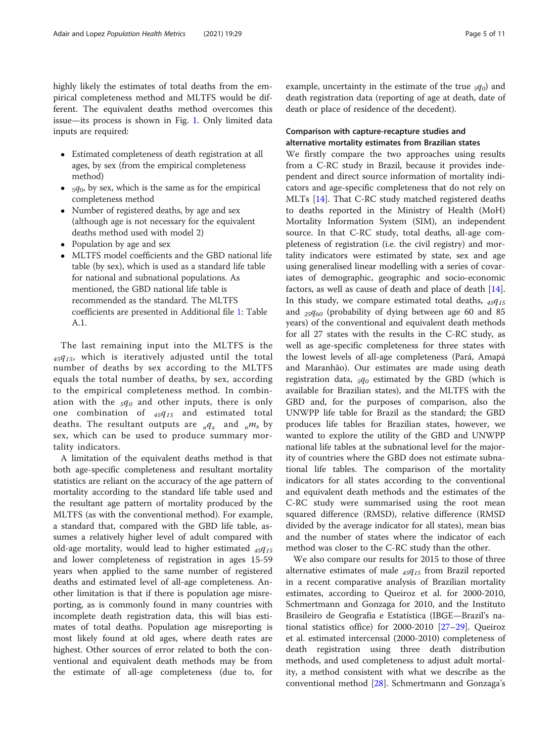highly likely the estimates of total deaths from the empirical completeness method and MLTFS would be different. The equivalent deaths method overcomes this issue—its process is shown in Fig. [1](#page-3-0). Only limited data inputs are required:

- Estimated completeness of death registration at all ages, by sex (from the empirical completeness method)
- $5q_0$ , by sex, which is the same as for the empirical completeness method
- Number of registered deaths, by age and sex (although age is not necessary for the equivalent deaths method used with model 2)
- Population by age and sex
- MLTFS model coefficients and the GBD national life table (by sex), which is used as a standard life table for national and subnational populations. As mentioned, the GBD national life table is recommended as the standard. The MLTFS coefficients are presented in Additional file [1](#page-9-0): Table A.1.

The last remaining input into the MLTFS is the  $45q_{15}$ , which is iteratively adjusted until the total number of deaths by sex according to the MLTFS equals the total number of deaths, by sex, according to the empirical completeness method. In combination with the  $_5q_0$  and other inputs, there is only one combination of  $_{45}q_{15}$  and estimated total deaths. The resultant outputs are  $_nq_x$  and  $_n^m$  by sex, which can be used to produce summary mortality indicators.

A limitation of the equivalent deaths method is that both age-specific completeness and resultant mortality statistics are reliant on the accuracy of the age pattern of mortality according to the standard life table used and the resultant age pattern of mortality produced by the MLTFS (as with the conventional method). For example, a standard that, compared with the GBD life table, assumes a relatively higher level of adult compared with old-age mortality, would lead to higher estimated  $_{45}q_{15}$ and lower completeness of registration in ages 15-59 years when applied to the same number of registered deaths and estimated level of all-age completeness. Another limitation is that if there is population age misreporting, as is commonly found in many countries with incomplete death registration data, this will bias estimates of total deaths. Population age misreporting is most likely found at old ages, where death rates are highest. Other sources of error related to both the conventional and equivalent death methods may be from the estimate of all-age completeness (due to, for

example, uncertainty in the estimate of the true  $_5q_0$  and death registration data (reporting of age at death, date of death or place of residence of the decedent).

# Comparison with capture-recapture studies and alternative mortality estimates from Brazilian states

We firstly compare the two approaches using results from a C-RC study in Brazil, because it provides independent and direct source information of mortality indicators and age-specific completeness that do not rely on MLTs [\[14](#page-10-0)]. That C-RC study matched registered deaths to deaths reported in the Ministry of Health (MoH) Mortality Information System (SIM), an independent source. In that C-RC study, total deaths, all-age completeness of registration (i.e. the civil registry) and mortality indicators were estimated by state, sex and age using generalised linear modelling with a series of covariates of demographic, geographic and socio-economic factors, as well as cause of death and place of death [\[14](#page-10-0)]. In this study, we compare estimated total deaths,  $45q_{15}$ and  $_{25}q_{60}$  (probability of dying between age 60 and 85 years) of the conventional and equivalent death methods for all 27 states with the results in the C-RC study, as well as age-specific completeness for three states with the lowest levels of all-age completeness (Pará, Amapá and Maranhão). Our estimates are made using death registration data,  $_5q_0$  estimated by the GBD (which is available for Brazilian states), and the MLTFS with the GBD and, for the purposes of comparison, also the UNWPP life table for Brazil as the standard; the GBD produces life tables for Brazilian states, however, we wanted to explore the utility of the GBD and UNWPP national life tables at the subnational level for the majority of countries where the GBD does not estimate subnational life tables. The comparison of the mortality indicators for all states according to the conventional and equivalent death methods and the estimates of the C-RC study were summarised using the root mean squared difference (RMSD), relative difference (RMSD divided by the average indicator for all states), mean bias and the number of states where the indicator of each method was closer to the C-RC study than the other.

We also compare our results for 2015 to those of three alternative estimates of male  $_{45}q_{15}$  from Brazil reported in a recent comparative analysis of Brazilian mortality estimates, according to Queiroz et al. for 2000-2010, Schmertmann and Gonzaga for 2010, and the Instituto Brasileiro de Geografia e Estatística (IBGE—Brazil's national statistics office) for 2000-2010 [[27](#page-10-0)–[29](#page-10-0)]. Queiroz et al. estimated intercensal (2000-2010) completeness of death registration using three death distribution methods, and used completeness to adjust adult mortality, a method consistent with what we describe as the conventional method [[28\]](#page-10-0). Schmertmann and Gonzaga's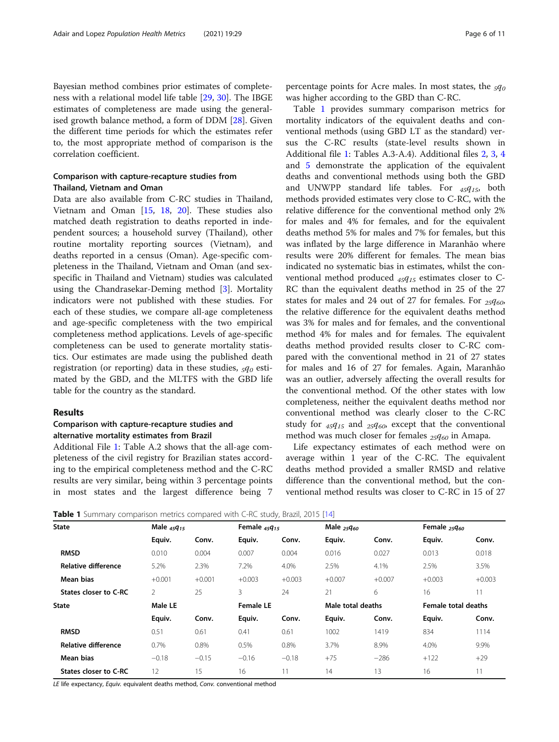Bayesian method combines prior estimates of completeness with a relational model life table [\[29](#page-10-0), [30](#page-10-0)]. The IBGE estimates of completeness are made using the generalised growth balance method, a form of DDM [\[28](#page-10-0)]. Given the different time periods for which the estimates refer to, the most appropriate method of comparison is the correlation coefficient.

# Comparison with capture-recapture studies from Thailand, Vietnam and Oman

Data are also available from C-RC studies in Thailand, Vietnam and Oman [\[15](#page-10-0), [18,](#page-10-0) [20\]](#page-10-0). These studies also matched death registration to deaths reported in independent sources; a household survey (Thailand), other routine mortality reporting sources (Vietnam), and deaths reported in a census (Oman). Age-specific completeness in the Thailand, Vietnam and Oman (and sexspecific in Thailand and Vietnam) studies was calculated using the Chandrasekar-Deming method [\[3](#page-9-0)]. Mortality indicators were not published with these studies. For each of these studies, we compare all-age completeness and age-specific completeness with the two empirical completeness method applications. Levels of age-specific completeness can be used to generate mortality statistics. Our estimates are made using the published death registration (or reporting) data in these studies,  $5q_0$  estimated by the GBD, and the MLTFS with the GBD life table for the country as the standard.

#### Results

# Comparison with capture-recapture studies and alternative mortality estimates from Brazil

Additional File [1](#page-9-0): Table A.2 shows that the all-age completeness of the civil registry for Brazilian states according to the empirical completeness method and the C-RC results are very similar, being within 3 percentage points in most states and the largest difference being 7

percentage points for Acre males. In most states, the  $_5q_0$ was higher according to the GBD than C-RC.

Table 1 provides summary comparison metrics for mortality indicators of the equivalent deaths and conventional methods (using GBD LT as the standard) versus the C-RC results (state-level results shown in Additional file [1:](#page-9-0) Tables A.3-A.4). Additional files [2,](#page-9-0) [3](#page-9-0), [4](#page-9-0) and [5](#page-9-0) demonstrate the application of the equivalent deaths and conventional methods using both the GBD and UNWPP standard life tables. For  $_{45}q_{15}$ , both methods provided estimates very close to C-RC, with the relative difference for the conventional method only 2% for males and 4% for females, and for the equivalent deaths method 5% for males and 7% for females, but this was inflated by the large difference in Maranhão where results were 20% different for females. The mean bias indicated no systematic bias in estimates, whilst the conventional method produced  $_{45}q_{15}$  estimates closer to C-RC than the equivalent deaths method in 25 of the 27 states for males and 24 out of 27 for females. For  $_{25}q_{60}$ , the relative difference for the equivalent deaths method was 3% for males and for females, and the conventional method 4% for males and for females. The equivalent deaths method provided results closer to C-RC compared with the conventional method in 21 of 27 states for males and 16 of 27 for females. Again, Maranhão was an outlier, adversely affecting the overall results for the conventional method. Of the other states with low completeness, neither the equivalent deaths method nor conventional method was clearly closer to the C-RC study for  $_{45}q_{15}$  and  $_{25}q_{60}$ , except that the conventional method was much closer for females  $_{25}q_{60}$  in Amapa.

Life expectancy estimates of each method were on average within 1 year of the C-RC. The equivalent deaths method provided a smaller RMSD and relative difference than the conventional method, but the conventional method results was closer to C-RC in 15 of 27

**Table 1** Summary comparison metrics compared with C-RC study, Brazil, 2015 [[14\]](#page-10-0)

| <b>State</b>               | Male $45q_{15}$ |          | Female $45q_{15}$ |          | Male $_{25}q_{60}$ |          | Female $_{25}q_{60}$       |          |
|----------------------------|-----------------|----------|-------------------|----------|--------------------|----------|----------------------------|----------|
|                            | Equiv.          | Conv.    | Equiv.            | Conv.    | Equiv.             | Conv.    | Equiv.                     | Conv.    |
| <b>RMSD</b>                | 0.010           | 0.004    | 0.007             | 0.004    | 0.016              | 0.027    | 0.013                      | 0.018    |
| <b>Relative difference</b> | 5.2%            | 2.3%     | 7.2%              | 4.0%     | 2.5%               | 4.1%     | 2.5%                       | 3.5%     |
| Mean bias                  | $+0.001$        | $+0.001$ | $+0.003$          | $+0.003$ | $+0.007$           | $+0.007$ | $+0.003$                   | $+0.003$ |
| States closer to C-RC      | 2               | 25       | 3                 | 24       | 21                 | 6        | 16                         |          |
| <b>State</b>               | Male LE         |          | <b>Female LE</b>  |          | Male total deaths  |          | <b>Female total deaths</b> |          |
|                            | Equiv.          | Conv.    | Equiv.            | Conv.    | Equiv.             | Conv.    | Equiv.                     | Conv.    |
| <b>RMSD</b>                | 0.51            | 0.61     | 0.41              | 0.61     | 1002               | 1419     | 834                        | 1114     |
| Relative difference        | 0.7%            | 0.8%     | 0.5%              | 0.8%     | 3.7%               | 8.9%     | 4.0%                       | 9.9%     |
| Mean bias                  | $-0.18$         | $-0.15$  | $-0.16$           | $-0.18$  | $+75$              | $-286$   | $+122$                     | $+29$    |
| States closer to C-RC      | 12              | 15       | 16                |          | 14                 | 13       | 16                         |          |
|                            |                 |          |                   |          |                    |          |                            |          |

LE life expectancy, Equiv. equivalent deaths method, Conv. conventional method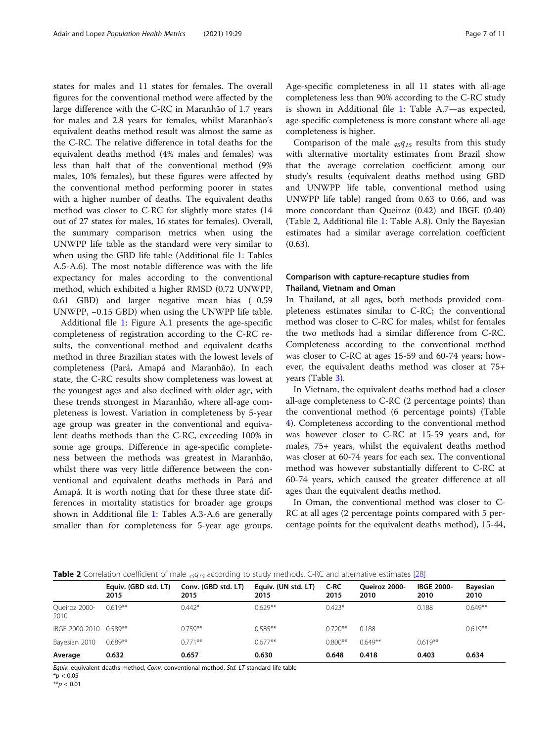states for males and 11 states for females. The overall figures for the conventional method were affected by the large difference with the C-RC in Maranhão of 1.7 years for males and 2.8 years for females, whilst Maranhão's equivalent deaths method result was almost the same as the C-RC. The relative difference in total deaths for the equivalent deaths method (4% males and females) was less than half that of the conventional method (9% males, 10% females), but these figures were affected by the conventional method performing poorer in states with a higher number of deaths. The equivalent deaths method was closer to C-RC for slightly more states (14 out of 27 states for males, 16 states for females). Overall, the summary comparison metrics when using the UNWPP life table as the standard were very similar to when using the GBD life table (Additional file [1](#page-9-0): Tables A.5-A.6). The most notable difference was with the life expectancy for males according to the conventional method, which exhibited a higher RMSD (0.72 UNWPP, 0.61 GBD) and larger negative mean bias (−0.59 UNWPP, −0.15 GBD) when using the UNWPP life table.

Additional file [1:](#page-9-0) Figure A.1 presents the age-specific completeness of registration according to the C-RC results, the conventional method and equivalent deaths method in three Brazilian states with the lowest levels of completeness (Pará, Amapá and Maranhão). In each state, the C-RC results show completeness was lowest at the youngest ages and also declined with older age, with these trends strongest in Maranhão, where all-age completeness is lowest. Variation in completeness by 5-year age group was greater in the conventional and equivalent deaths methods than the C-RC, exceeding 100% in some age groups. Difference in age-specific completeness between the methods was greatest in Maranhão, whilst there was very little difference between the conventional and equivalent deaths methods in Pará and Amapá. It is worth noting that for these three state differences in mortality statistics for broader age groups shown in Additional file [1](#page-9-0): Tables A.3-A.6 are generally smaller than for completeness for 5-year age groups. Age-specific completeness in all 11 states with all-age completeness less than 90% according to the C-RC study is shown in Additional file [1:](#page-9-0) Table A.7—as expected, age-specific completeness is more constant where all-age completeness is higher.

Comparison of the male  $_{45}q_{15}$  results from this study with alternative mortality estimates from Brazil show that the average correlation coefficient among our study's results (equivalent deaths method using GBD and UNWPP life table, conventional method using UNWPP life table) ranged from 0.63 to 0.66, and was more concordant than Queiroz (0.42) and IBGE (0.40) (Table 2, Additional file [1:](#page-9-0) Table A.8). Only the Bayesian estimates had a similar average correlation coefficient (0.63).

# Comparison with capture-recapture studies from Thailand, Vietnam and Oman

In Thailand, at all ages, both methods provided completeness estimates similar to C-RC; the conventional method was closer to C-RC for males, whilst for females the two methods had a similar difference from C-RC. Completeness according to the conventional method was closer to C-RC at ages 15-59 and 60-74 years; however, the equivalent deaths method was closer at 75+ years (Table [3](#page-7-0)).

In Vietnam, the equivalent deaths method had a closer all-age completeness to C-RC (2 percentage points) than the conventional method (6 percentage points) (Table [4\)](#page-7-0). Completeness according to the conventional method was however closer to C-RC at 15-59 years and, for males, 75+ years, whilst the equivalent deaths method was closer at 60-74 years for each sex. The conventional method was however substantially different to C-RC at 60-74 years, which caused the greater difference at all ages than the equivalent deaths method.

In Oman, the conventional method was closer to C-RC at all ages (2 percentage points compared with 5 percentage points for the equivalent deaths method), 15-44,

| Table 2 Correlation coefficient of male <sub>45</sub> 9 <sub>15</sub> according to study methods, C-RC and alternative estimates [28] |  |  |
|---------------------------------------------------------------------------------------------------------------------------------------|--|--|
|---------------------------------------------------------------------------------------------------------------------------------------|--|--|

|                        | Equiv. (GBD std. LT)<br>2015 | Conv. (GBD std. LT)<br>2015 | Equiv. (UN std. LT)<br>2015 | C-RC<br>2015 | Oueiroz 2000-<br>2010 | <b>IBGE 2000-</b><br>2010 | <b>Bayesian</b><br>2010 |
|------------------------|------------------------------|-----------------------------|-----------------------------|--------------|-----------------------|---------------------------|-------------------------|
| Queiroz 2000-<br>2010  | $0.619**$                    | $0.442*$                    | $0.629**$                   | $0.423*$     |                       | 0.188                     | $0.649**$               |
| IBGE 2000-2010 0.589** |                              | $0.759**$                   | $0.585**$                   | $0.720**$    | 0.188                 |                           | $0.619**$               |
| Bayesian 2010          | $0.689**$                    | $0.771**$                   | $0.677**$                   | $0.800**$    | $0.649**$             | $0.619**$                 |                         |
| Average                | 0.632                        | 0.657                       | 0.630                       | 0.648        | 0.418                 | 0.403                     | 0.634                   |

Equiv. equivalent deaths method, Conv. conventional method, Std. LT standard life table  $*_{p}$  < 0.05

 $**p < 0.01$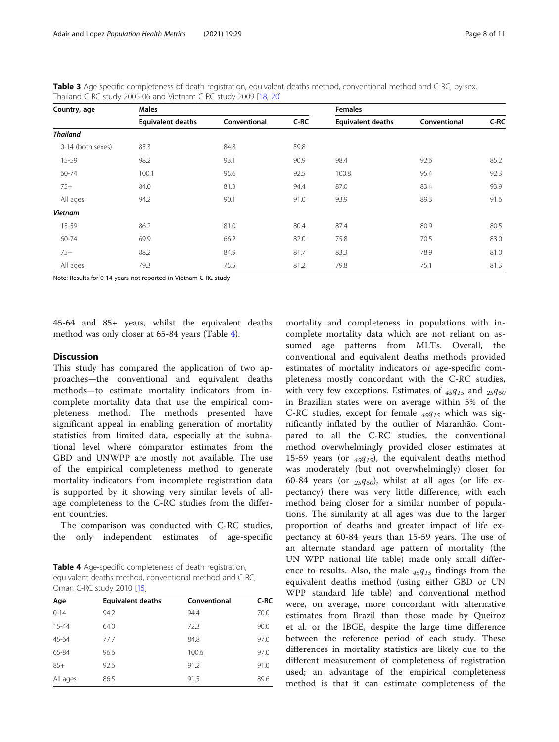<span id="page-7-0"></span>Table 3 Age-specific completeness of death registration, equivalent deaths method, conventional method and C-RC, by sex, Thailand C-RC study 2005-06 and Vietnam C-RC study 2009 [[18,](#page-10-0) [20](#page-10-0)]

| Country, age      | <b>Males</b>             |              | <b>Females</b> |                          |              |      |
|-------------------|--------------------------|--------------|----------------|--------------------------|--------------|------|
|                   | <b>Equivalent deaths</b> | Conventional | C-RC           | <b>Equivalent deaths</b> | Conventional | C-RC |
| <b>Thailand</b>   |                          |              |                |                          |              |      |
| 0-14 (both sexes) | 85.3                     | 84.8         | 59.8           |                          |              |      |
| 15-59             | 98.2                     | 93.1         | 90.9           | 98.4                     | 92.6         | 85.2 |
| 60-74             | 100.1                    | 95.6         | 92.5           | 100.8                    | 95.4         | 92.3 |
| $75+$             | 84.0                     | 81.3         | 94.4           | 87.0                     | 83.4         | 93.9 |
| All ages          | 94.2                     | 90.1         | 91.0           | 93.9                     | 89.3         | 91.6 |
| <b>Vietnam</b>    |                          |              |                |                          |              |      |
| 15-59             | 86.2                     | 81.0         | 80.4           | 87.4                     | 80.9         | 80.5 |
| 60-74             | 69.9                     | 66.2         | 82.0           | 75.8                     | 70.5         | 83.0 |
| $75+$             | 88.2                     | 84.9         | 81.7           | 83.3                     | 78.9         | 81.0 |
| All ages          | 79.3                     | 75.5         | 81.2           | 79.8                     | 75.1         | 81.3 |

Note: Results for 0-14 years not reported in Vietnam C-RC study

45-64 and 85+ years, whilst the equivalent deaths method was only closer at 65-84 years (Table 4).

#### **Discussion**

This study has compared the application of two approaches—the conventional and equivalent deaths methods—to estimate mortality indicators from incomplete mortality data that use the empirical completeness method. The methods presented have significant appeal in enabling generation of mortality statistics from limited data, especially at the subnational level where comparator estimates from the GBD and UNWPP are mostly not available. The use of the empirical completeness method to generate mortality indicators from incomplete registration data is supported by it showing very similar levels of allage completeness to the C-RC studies from the different countries.

The comparison was conducted with C-RC studies, the only independent estimates of age-specific

Table 4 Age-specific completeness of death registration, equivalent deaths method, conventional method and C-RC, Oman C-RC study 2010 [[15](#page-10-0)]

| Age       | <b>Equivalent deaths</b> | Conventional | C-RC |
|-----------|--------------------------|--------------|------|
| $0 - 14$  | 94.2                     | 94.4         | 70.0 |
| $15 - 44$ | 64.0                     | 72.3         | 90.0 |
| 45-64     | 77.7                     | 84.8         | 97.0 |
| 65-84     | 96.6                     | 100.6        | 97.0 |
| $85+$     | 92.6                     | 91.2         | 91.0 |
| All ages  | 86.5                     | 91.5         | 89.6 |

mortality and completeness in populations with incomplete mortality data which are not reliant on assumed age patterns from MLTs. Overall, the conventional and equivalent deaths methods provided estimates of mortality indicators or age-specific completeness mostly concordant with the C-RC studies, with very few exceptions. Estimates of  $_{45}q_{15}$  and  $_{25}q_{60}$ in Brazilian states were on average within 5% of the C-RC studies, except for female  $_{45}q_{15}$  which was significantly inflated by the outlier of Maranhão. Compared to all the C-RC studies, the conventional method overwhelmingly provided closer estimates at 15-59 years (or  $_{45}q_{15}$ ), the equivalent deaths method was moderately (but not overwhelmingly) closer for 60-84 years (or  $_{25}q_{60}$ ), whilst at all ages (or life expectancy) there was very little difference, with each method being closer for a similar number of populations. The similarity at all ages was due to the larger proportion of deaths and greater impact of life expectancy at 60-84 years than 15-59 years. The use of an alternate standard age pattern of mortality (the UN WPP national life table) made only small difference to results. Also, the male  $_{45}q_{15}$  findings from the equivalent deaths method (using either GBD or UN WPP standard life table) and conventional method were, on average, more concordant with alternative estimates from Brazil than those made by Queiroz et al. or the IBGE, despite the large time difference between the reference period of each study. These differences in mortality statistics are likely due to the different measurement of completeness of registration used; an advantage of the empirical completeness method is that it can estimate completeness of the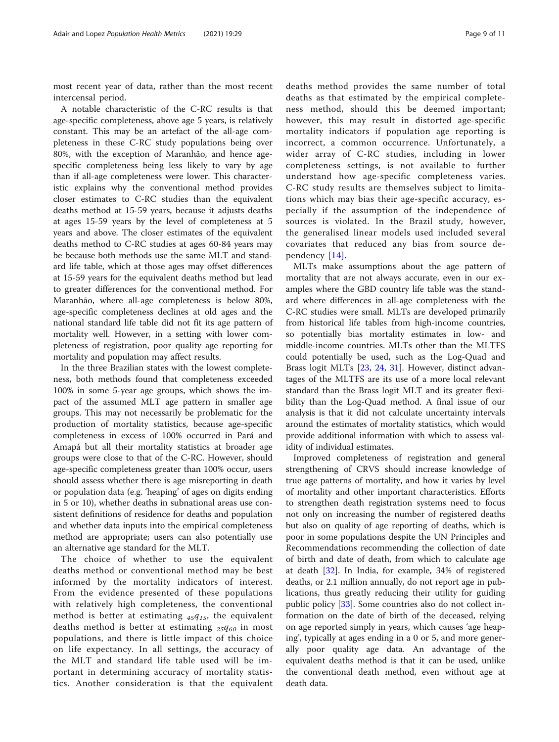most recent year of data, rather than the most recent intercensal period.

A notable characteristic of the C-RC results is that age-specific completeness, above age 5 years, is relatively constant. This may be an artefact of the all-age completeness in these C-RC study populations being over 80%, with the exception of Maranhão, and hence agespecific completeness being less likely to vary by age than if all-age completeness were lower. This characteristic explains why the conventional method provides closer estimates to C-RC studies than the equivalent deaths method at 15-59 years, because it adjusts deaths at ages 15-59 years by the level of completeness at 5 years and above. The closer estimates of the equivalent deaths method to C-RC studies at ages 60-84 years may be because both methods use the same MLT and standard life table, which at those ages may offset differences at 15-59 years for the equivalent deaths method but lead to greater differences for the conventional method. For Maranhão, where all-age completeness is below 80%, age-specific completeness declines at old ages and the national standard life table did not fit its age pattern of mortality well. However, in a setting with lower completeness of registration, poor quality age reporting for mortality and population may affect results.

In the three Brazilian states with the lowest completeness, both methods found that completeness exceeded 100% in some 5-year age groups, which shows the impact of the assumed MLT age pattern in smaller age groups. This may not necessarily be problematic for the production of mortality statistics, because age-specific completeness in excess of 100% occurred in Pará and Amapá but all their mortality statistics at broader age groups were close to that of the C-RC. However, should age-specific completeness greater than 100% occur, users should assess whether there is age misreporting in death or population data (e.g. 'heaping' of ages on digits ending in 5 or 10), whether deaths in subnational areas use consistent definitions of residence for deaths and population and whether data inputs into the empirical completeness method are appropriate; users can also potentially use an alternative age standard for the MLT.

The choice of whether to use the equivalent deaths method or conventional method may be best informed by the mortality indicators of interest. From the evidence presented of these populations with relatively high completeness, the conventional method is better at estimating  $45q_{15}$ , the equivalent deaths method is better at estimating  $_{25}q_{60}$  in most populations, and there is little impact of this choice on life expectancy. In all settings, the accuracy of the MLT and standard life table used will be important in determining accuracy of mortality statistics. Another consideration is that the equivalent deaths method provides the same number of total deaths as that estimated by the empirical completeness method, should this be deemed important; however, this may result in distorted age-specific mortality indicators if population age reporting is incorrect, a common occurrence. Unfortunately, a wider array of C-RC studies, including in lower completeness settings, is not available to further understand how age-specific completeness varies. C-RC study results are themselves subject to limitations which may bias their age-specific accuracy, especially if the assumption of the independence of sources is violated. In the Brazil study, however, the generalised linear models used included several covariates that reduced any bias from source dependency [\[14\]](#page-10-0).

MLTs make assumptions about the age pattern of mortality that are not always accurate, even in our examples where the GBD country life table was the standard where differences in all-age completeness with the C-RC studies were small. MLTs are developed primarily from historical life tables from high-income countries, so potentially bias mortality estimates in low- and middle-income countries. MLTs other than the MLTFS could potentially be used, such as the Log-Quad and Brass logit MLTs [[23,](#page-10-0) [24,](#page-10-0) [31](#page-10-0)]. However, distinct advantages of the MLTFS are its use of a more local relevant standard than the Brass logit MLT and its greater flexibility than the Log-Quad method. A final issue of our analysis is that it did not calculate uncertainty intervals around the estimates of mortality statistics, which would provide additional information with which to assess validity of individual estimates.

Improved completeness of registration and general strengthening of CRVS should increase knowledge of true age patterns of mortality, and how it varies by level of mortality and other important characteristics. Efforts to strengthen death registration systems need to focus not only on increasing the number of registered deaths but also on quality of age reporting of deaths, which is poor in some populations despite the UN Principles and Recommendations recommending the collection of date of birth and date of death, from which to calculate age at death [\[32\]](#page-10-0). In India, for example, 34% of registered deaths, or 2.1 million annually, do not report age in publications, thus greatly reducing their utility for guiding public policy [\[33](#page-10-0)]. Some countries also do not collect information on the date of birth of the deceased, relying on age reported simply in years, which causes 'age heaping', typically at ages ending in a 0 or 5, and more generally poor quality age data. An advantage of the equivalent deaths method is that it can be used, unlike the conventional death method, even without age at death data.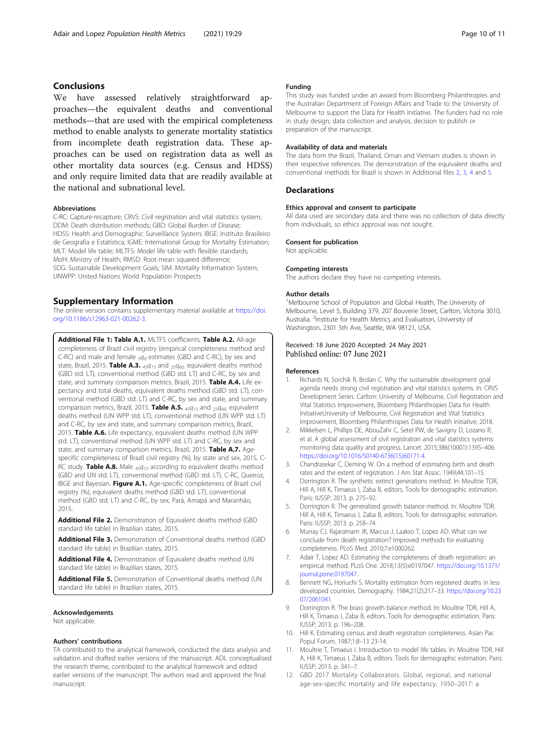# <span id="page-9-0"></span>**Conclusions**

We have assessed relatively straightforward approaches—the equivalent deaths and conventional methods—that are used with the empirical completeness method to enable analysts to generate mortality statistics from incomplete death registration data. These approaches can be used on registration data as well as other mortality data sources (e.g. Census and HDSS) and only require limited data that are readily available at the national and subnational level.

### Abbreviations

C-RC: Capture-recapture; CRVS: Civil registration and vital statistics system; DDM: Death distribution methods; GBD: Global Burden of Disease; HDSS: Health and Demographic Surveillance System; IBGE: Instituto Brasileiro de Geografia e Estatística; IGME: International Group for Mortality Estimation; MLT: Model life table; MLTFS: Model life table with flexible standards; MoH: Ministry of Health; RMSD: Root mean squared difference; SDG: Sustainable Development Goals; SIM: Mortality Information System; UNWPP: United Nations World Population Prospects

# Supplementary Information

The online version contains supplementary material available at [https://doi.](https://doi.org/10.1186/s12963-021-00262-3) [org/10.1186/s12963-021-00262-3.](https://doi.org/10.1186/s12963-021-00262-3)

Additional File 1: Table A.1. MLTFS coefficients. Table A.2. All-age completeness of Brazil civil registry (empirical completeness method and C-RC) and male and female  $_5q_0$  estimates (GBD and C-RC), by sex and state, Brazil, 2015. Table A.3.  $_{45}q_{15}$  and  $_{25}q_{60}$ , equivalent deaths method (GBD std. LT), conventional method (GBD std. LT) and C-RC, by sex and state, and summary comparison metrics, Brazil, 2015. Table A.4. Life expectancy and total deaths, equivalent deaths method (GBD std. LT), conventional method (GBD std. LT) and C-RC, by sex and state, and summary comparison metrics, Brazil, 2015. Table A.5.  $_{45}q_{15}$  and  $_{25}q_{60}$  equivalent deaths method (UN WPP std. LT), conventional method (UN WPP std. LT) and C-RC, by sex and state, and summary comparison metrics, Brazil, 2015. Table A.6. Life expectancy, equivalent deaths method (UN WPP std. LT), conventional method (UN WPP std. LT) and C-RC, by sex and state, and summary comparison metrics, Brazil, 2015. Table A.7. Agespecific completeness of Brazil civil registry (%), by state and sex, 2015, C-RC study. Table A.8. Male  $_{45}q_{15}$  according to equivalent deaths method (GBD and UN std. LT), conventional method (GBD std. LT), C-RC, Queiroz, IBGE and Bayesian. Figure A.1. Age-specific completeness of Brazil civil registry (%), equivalent deaths method (GBD std. LT), conventional method (GBD std. LT) and C-RC, by sex, Pará, Amapá and Maranhão, 2015.

Additional File 2. Demonstration of Equivalent deaths method (GBD standard life table) in Brazilian states, 2015.

Additional File 3. Demonstration of Conventional deaths method (GBD) standard life table) in Brazilian states, 2015.

Additional File 4. Demonstration of Equivalent deaths method (UN standard life table) in Brazilian states, 2015.

Additional File 5. Demonstration of Conventional deaths method (UN standard life table) in Brazilian states, 2015.

## Acknowledgements

Not applicable.

#### Authors' contributions

TA contributed to the analytical framework, conducted the data analysis and validation and drafted earlier versions of the manuscript. ADL conceptualised the research theme, contributed to the analytical framework and edited earlier versions of the manuscript. The authors read and approved the final manuscript.

### Funding

This study was funded under an award from Bloomberg Philanthropies and the Australian Department of Foreign Affairs and Trade to the University of Melbourne to support the Data for Health Initiative. The funders had no role in study design, data collection and analysis, decision to publish or preparation of the manuscript.

#### Availability of data and materials

The data from the Brazil, Thailand, Oman and Vietnam studies is shown in their respective references. The demonstration of the equivalent deaths and conventional methods for Brazil is shown in Additional files 2, 3, 4 and 5.

#### **Declarations**

#### Ethics approval and consent to participate

All data used are secondary data and there was no collection of data directly from individuals, so ethics approval was not sought.

#### Consent for publication

Not applicable.

#### Competing interests

The authors declare they have no competing interests.

#### Author details

<sup>1</sup>Melbourne School of Population and Global Health, The University of Melbourne, Level 5, Building 379, 207 Bouverie Street, Carlton, Victoria 3010, Australia. <sup>2</sup>Institute for Health Metrics and Evaluation, University of Washington, 2301 5th Ave, Seattle, WA 98121, USA.

## Received: 18 June 2020 Accepted: 24 May 2021 Published online: 07 June 2021

#### References

- 1. Richards N, Sorchik R, Brolan C. Why the sustainable development goal agenda needs strong civil registration and vital statistics systems. In: CRVS Development Series. Carlton: University of Melbourne, Civil Registration and Vital Statistics Improvement, Bloomberg Philanthropies Data for Health InitiativeUniversity of Melbourne, Civil Registration and Vital Statistics Improvement, Bloomberg Philanthropies Data for Health Initiative; 2018.
- 2. Mikkelsen L, Phillips DE, AbouZahr C, Setel PW, de Savigny D, Lozano R, et al. A global assessment of civil registration and vital statistics systems: monitoring data quality and progress. Lancet. 2015;386(10001):1395–406. [https://doi.org/10.1016/S0140-6736\(15\)60171-4.](https://doi.org/10.1016/S0140-6736(15)60171-4)
- 3. Chandrasekar C, Deming W. On a method of estimating birth and death rates and the extent of registration. J Am Stat Assoc. 1949;44:101–15.
- 4. Dorrington R. The synthetic extinct generations method. In: Moultrie TDR, Hill A, Hill K, Timaeus I, Zaba B, editors. Tools for demographic estimation. Paris: IUSSP; 2013. p. 275–92.
- 5. Dorrington R. The generalized growth balance method. In: Moultrie TDR, Hill A, Hill K, Timaeus I, Zaba B, editors. Tools for demographic estimation. Paris: IUSSP; 2013. p. 258–74.
- 6. Murray CJ, Rajaratnam JK, Marcus J, Laakso T, Lopez AD. What can we conclude from death registration? Improved methods for evaluating completeness. PLoS Med. 2010;7:e1000262.
- 7. Adair T, Lopez AD. Estimating the completeness of death registration: an empirical method. PLoS One. 2018;13(5):e0197047. [https://doi.org/10.1371/](https://doi.org/10.1371/journal.pone.0197047) [journal.pone.0197047](https://doi.org/10.1371/journal.pone.0197047).
- 8. Bennett NG, Horiuchi S. Mortality estimation from registered deaths in less developed countries. Demography. 1984;21(2):217–33. [https://doi.org/10.23](https://doi.org/10.2307/2061041) [07/2061041.](https://doi.org/10.2307/2061041)
- Dorrington R. The brass growth balance method. In: Moultrie TDR, Hill A, Hill K, Timaeus I, Zaba B, editors. Tools for demographic estimation. Paris: IUSSP; 2013. p. 196–208.
- 10. Hill K. Estimating census and death registration completeness. Asian Pac Popul Forum. 1987;1:8–13 23-14.
- 11. Moultrie T, Timaeus I. Introduction to model life tables. In: Moultrie TDR, Hill A, Hill K, Timaeus I, Zaba B, editors. Tools for demographic estimation. Paris: IUSSP; 2013. p. 341–7.
- 12. GBD 2017 Mortality Collaborators. Global, regional, and national age-sex-specific mortality and life expectancy, 1950–2017: a